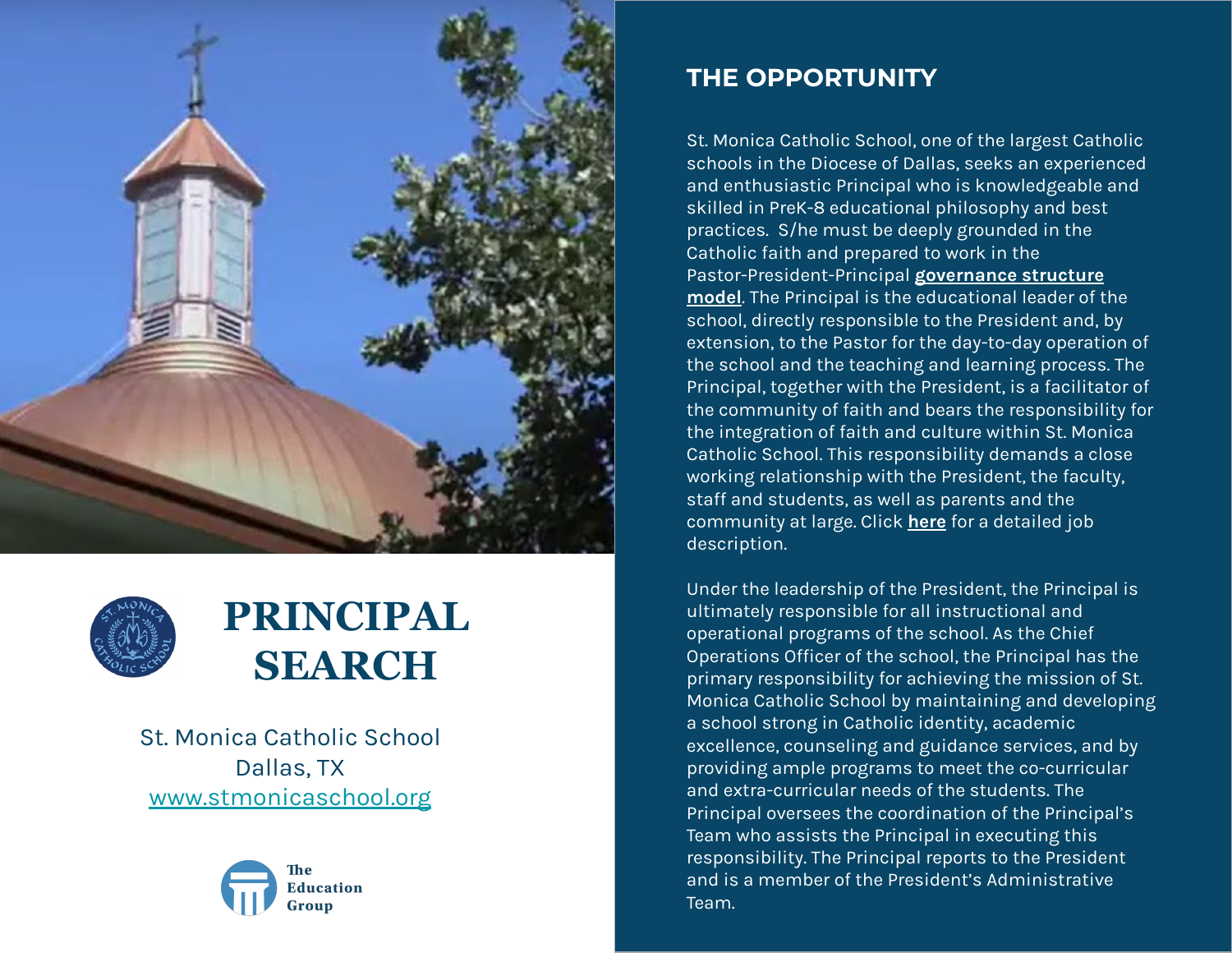



### **PRINCIPAL SEARCH**

St. Monica Catholic School Dallas, TX [www.stmonicaschool.org](http://www.stmonicaschool.org)



### **THE OPPORTUNITY**

St. Monica Catholic School, one of the largest Catholic schools in the Diocese of Dallas, seeks an experienced and enthusiastic Principal who is knowledgeable and skilled in PreK-8 educational philosophy and best practices. S/he must be deeply grounded in the Catholic faith and prepared to work in the Pastor-President-Principal **[governance structure](https://www.stmonicaschool.org/documents/2021/1/Governance%20structure%20for%20Website%201.pdf) [model](https://www.stmonicaschool.org/documents/2021/1/Governance%20structure%20for%20Website%201.pdf)**. The Principal is the educational leader of the school, directly responsible to the President and, by extension, to the Pastor for the day-to-day operation of the school and the teaching and learning process. The Principal, together with the President, is a facilitator of the community of faith and bears the responsibility for the integration of faith and culture within St. Monica Catholic School. This responsibility demands a close working relationship with the President, the faculty, staff and students, as well as parents and the community at large. Click **[here](https://d2y1pz2y630308.cloudfront.net/24885/documents/2022/1/St.%20Monicas%20Principal%20Job%20Description_FINAL.pdf?preview)** for a detailed job description.

Under the leadership of the President, the Principal is ultimately responsible for all instructional and operational programs of the school. As the Chief Operations Officer of the school, the Principal has the primary responsibility for achieving the mission of St. Monica Catholic School by maintaining and developing a school strong in Catholic identity, academic excellence, counseling and guidance services, and by providing ample programs to meet the co-curricular and extra-curricular needs of the students. The Principal oversees the coordination of the Principal's Team who assists the Principal in executing this responsibility. The Principal reports to the President and is a member of the President's Administrative Team.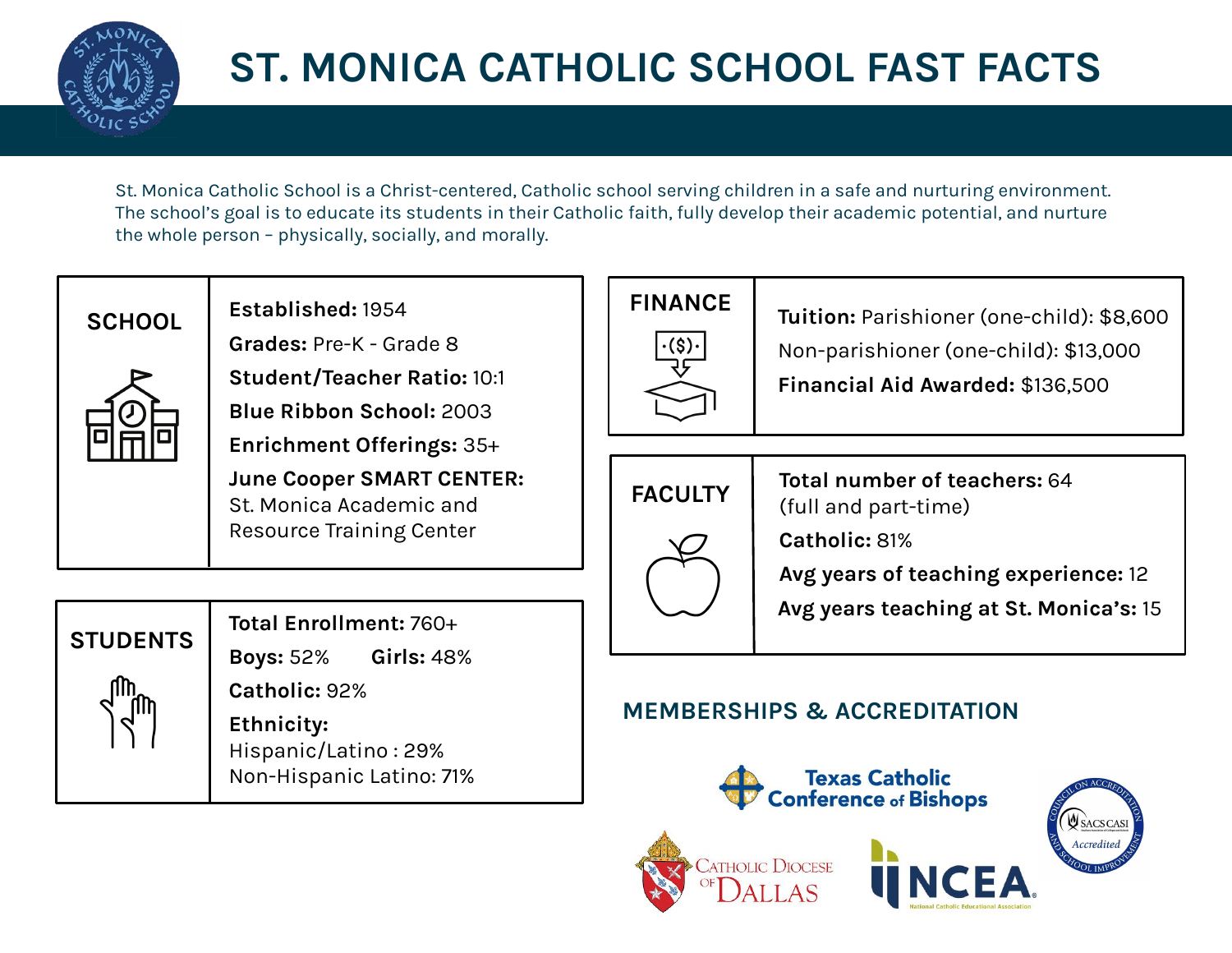

## **ST. MONICA CATHOLIC SCHOOL FAST FACTS**

St. Monica Catholic School is a Christ-centered, Catholic school serving children in a safe and nurturing environment. The school's goal is to educate its students in their Catholic faith, fully develop their academic potential, and nurture the whole person – physically, socially, and morally.



**Established:** 1954 **Grades:** Pre-K - Grade 8 **Student/Teacher Ratio:** 10:1 **Blue Ribbon School:** 2003 **Enrichment Offerings:** 35+ **June Cooper SMART CENTER:**  St. Monica Academic and Resource Training Center



**Total Enrollment:** 760+

**Boys:** 52% **Girls:** 48% **Catholic:** 92%

**Ethnicity:**  Hispanic/Latino : 29% Non-Hispanic Latino: 71%

# **FINANCE**

**Tuition:** Parishioner (one-child): \$8,600 Non-parishioner (one-child): \$13,000 **Financial Aid Awarded:** \$136,500



**Total number of teachers:** 64 (full and part-time)

**Catholic:** 81%

**Avg years of teaching experience:** 12

**Avg years teaching at St. Monica's:** 15

### **MEMBERSHIPS & ACCREDITATION**